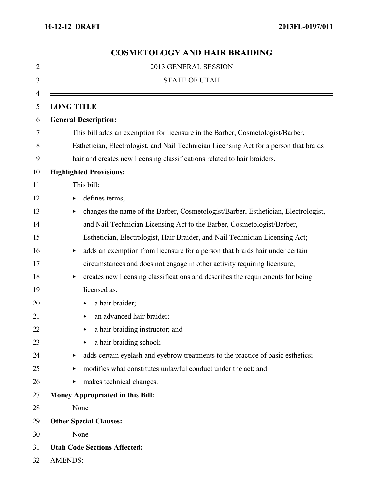| 1              | <b>COSMETOLOGY AND HAIR BRAIDING</b>                                                   |
|----------------|----------------------------------------------------------------------------------------|
| $\overline{2}$ | 2013 GENERAL SESSION                                                                   |
| 3              | <b>STATE OF UTAH</b>                                                                   |
| 4              |                                                                                        |
| 5              | <b>LONG TITLE</b>                                                                      |
| 6              | <b>General Description:</b>                                                            |
| 7              | This bill adds an exemption for licensure in the Barber, Cosmetologist/Barber,         |
| 8              | Esthetician, Electrologist, and Nail Technician Licensing Act for a person that braids |
| 9              | hair and creates new licensing classifications related to hair braiders.               |
| 10             | <b>Highlighted Provisions:</b>                                                         |
| 11             | This bill:                                                                             |
| 12             | defines terms;<br>▶                                                                    |
| 13             | changes the name of the Barber, Cosmetologist/Barber, Esthetician, Electrologist,<br>▶ |
| 14             | and Nail Technician Licensing Act to the Barber, Cosmetologist/Barber,                 |
| 15             | Esthetician, Electrologist, Hair Braider, and Nail Technician Licensing Act;           |
| 16             | adds an exemption from licensure for a person that braids hair under certain<br>▶      |
| 17             | circumstances and does not engage in other activity requiring licensure;               |
| 18             | creates new licensing classifications and describes the requirements for being<br>▶    |
| 19             | licensed as:                                                                           |
| 20             | a hair braider;<br>٠                                                                   |
| 21             | an advanced hair braider;                                                              |
| 22             | a hair braiding instructor; and                                                        |
| 23             | a hair braiding school;<br>٠                                                           |
| 24             | adds certain eyelash and eyebrow treatments to the practice of basic esthetics;<br>▶   |
| 25             | modifies what constitutes unlawful conduct under the act; and<br>▶                     |
| 26             | makes technical changes.<br>$\blacktriangleright$                                      |
| 27             | <b>Money Appropriated in this Bill:</b>                                                |
| 28             | None                                                                                   |
| 29             | <b>Other Special Clauses:</b>                                                          |
| 30             | None                                                                                   |
| 31             | <b>Utah Code Sections Affected:</b>                                                    |
| 32             | <b>AMENDS:</b>                                                                         |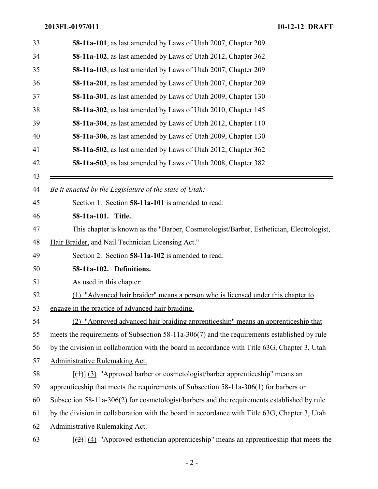| 33 | 58-11a-101, as last amended by Laws of Utah 2007, Chapter 209                                               |
|----|-------------------------------------------------------------------------------------------------------------|
| 34 | 58-11a-102, as last amended by Laws of Utah 2012, Chapter 362                                               |
| 35 | 58-11a-103, as last amended by Laws of Utah 2007, Chapter 209                                               |
| 36 | 58-11a-201, as last amended by Laws of Utah 2007, Chapter 209                                               |
| 37 | 58-11a-301, as last amended by Laws of Utah 2009, Chapter 130                                               |
| 38 | 58-11a-302, as last amended by Laws of Utah 2010, Chapter 145                                               |
| 39 | 58-11a-304, as last amended by Laws of Utah 2012, Chapter 110                                               |
| 40 | 58-11a-306, as last amended by Laws of Utah 2009, Chapter 130                                               |
| 41 | 58-11a-502, as last amended by Laws of Utah 2012, Chapter 362                                               |
| 42 | 58-11a-503, as last amended by Laws of Utah 2008, Chapter 382                                               |
| 43 |                                                                                                             |
| 44 | Be it enacted by the Legislature of the state of Utah:                                                      |
| 45 | Section 1. Section 58-11a-101 is amended to read:                                                           |
| 46 | 58-11a-101. Title.                                                                                          |
| 47 | This chapter is known as the "Barber, Cosmetologist/Barber, Esthetician, Electrologist,                     |
| 48 | Hair Braider, and Nail Technician Licensing Act."                                                           |
| 49 | Section 2. Section 58-11a-102 is amended to read:                                                           |
| 50 | 58-11a-102. Definitions.                                                                                    |
| 51 | As used in this chapter:                                                                                    |
| 52 | (1) "Advanced hair braider" means a person who is licensed under this chapter to                            |
| 53 | engage in the practice of advanced hair braiding.                                                           |
| 54 | (2) "Approved advanced hair braiding apprenticeship" means an apprenticeship that                           |
| 55 | meets the requirements of Subsection 58-11a-306(7) and the requirements established by rule                 |
| 56 | by the division in collaboration with the board in accordance with Title 63G, Chapter 3, Utah               |
| 57 | Administrative Rulemaking Act.                                                                              |
| 58 | $[\frac{(+)}{3}]$ "Approved barber or cosmetologist/barber apprenticeship" means an                         |
| 59 | apprenticeship that meets the requirements of Subsection 58-11a-306(1) for barbers or                       |
| 60 | Subsection 58-11a-306(2) for cosmetologist/barbers and the requirements established by rule                 |
| 61 | by the division in collaboration with the board in accordance with Title 63G, Chapter 3, Utah               |
| 62 | Administrative Rulemaking Act.                                                                              |
| 63 | $\left[\frac{2}{2}\right]$ (4) "Approved esthetician apprenticeship" means an apprenticeship that meets the |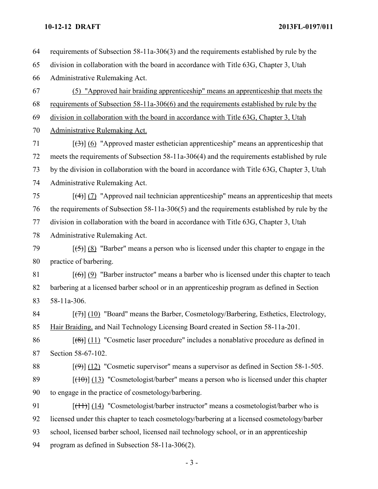requirements of Subsection 58-11a-306(3) and the requirements established by rule by the division in collaboration with the board in accordance with Title 63G, Chapter 3, Utah Administrative Rulemaking Act. (5) "Approved hair braiding apprenticeship" means an apprenticeship that meets the requirements of Subsection 58-11a-306(6) and the requirements established by rule by the division in collaboration with the board in accordance with Title 63G, Chapter 3, Utah Administrative Rulemaking Act.  $[(3)]$  (6) "Approved master esthetician apprenticeship" means an apprenticeship that meets the requirements of Subsection 58-11a-306(4) and the requirements established by rule by the division in collaboration with the board in accordance with Title 63G, Chapter 3, Utah Administrative Rulemaking Act.  $\left[\frac{4}{3}\right]$  (7) "Approved nail technician apprenticeship" means an apprenticeship that meets the requirements of Subsection 58-11a-306(5) and the requirements established by rule by the division in collaboration with the board in accordance with Title 63G, Chapter 3, Utah Administrative Rulemaking Act.  $\left[\frac{(-5)}{8}\right]$  (8) "Barber" means a person who is licensed under this chapter to engage in the practice of barbering.  $[(6)] (9)$  "Barber instructor" means a barber who is licensed under this chapter to teach barbering at a licensed barber school or in an apprenticeship program as defined in Section 58-11a-306.  $\left[\left(\frac{7}{7}\right)\right]$  (10) "Board" means the Barber, Cosmetology/Barbering, Esthetics, Electrology, Hair Braiding, and Nail Technology Licensing Board created in Section 58-11a-201.  $\left[\frac{8}{3}\right]$  (11) "Cosmetic laser procedure" includes a nonablative procedure as defined in Section 58-67-102.  $\left[\left(\frac{9}{2}\right)\right]$  (12) "Cosmetic supervisor" means a supervisor as defined in Section 58-1-505.  $[(10)(13)$  "Cosmetologist/barber" means a person who is licensed under this chapter to engage in the practice of cosmetology/barbering. [(11)] (14) "Cosmetologist/barber instructor" means a cosmetologist/barber who is licensed under this chapter to teach cosmetology/barbering at a licensed cosmetology/barber school, licensed barber school, licensed nail technology school, or in an apprenticeship program as defined in Subsection 58-11a-306(2).

- 3 -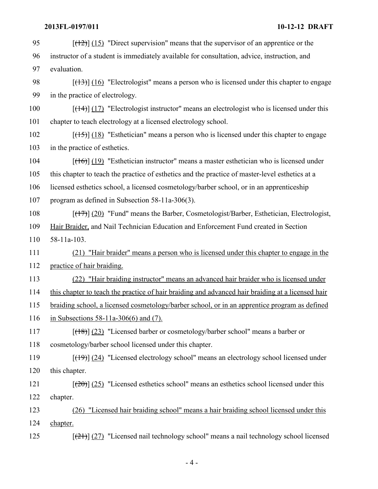| 95  | $[ (12) ] (15)$ "Direct supervision" means that the supervisor of an apprentice or the                              |
|-----|---------------------------------------------------------------------------------------------------------------------|
| 96  | instructor of a student is immediately available for consultation, advice, instruction, and                         |
| 97  | evaluation.                                                                                                         |
| 98  | $[$ ( $\frac{13}{16}$ ) $\frac{16}{16}$ "Electrologist" means a person who is licensed under this chapter to engage |
| 99  | in the practice of electrology.                                                                                     |
| 100 | $[ (14) ] (17)$ "Electrologist instructor" means an electrologist who is licensed under this                        |
| 101 | chapter to teach electrology at a licensed electrology school.                                                      |
| 102 | $[ (15) ] (18)$ "Esthetician" means a person who is licensed under this chapter to engage                           |
| 103 | in the practice of esthetics.                                                                                       |
| 104 | $[ (16)$ ] $(19)$ "Esthetician instructor" means a master esthetician who is licensed under                         |
| 105 | this chapter to teach the practice of esthetics and the practice of master-level esthetics at a                     |
| 106 | licensed esthetics school, a licensed cosmetology/barber school, or in an apprenticeship                            |
| 107 | program as defined in Subsection $58-11a-306(3)$ .                                                                  |
| 108 | $[ (17) ] (20)$ "Fund" means the Barber, Cosmetologist/Barber, Esthetician, Electrologist,                          |
| 109 | Hair Braider, and Nail Technician Education and Enforcement Fund created in Section                                 |
| 110 | $58-11a-103$ .                                                                                                      |
| 111 | (21) "Hair braider" means a person who is licensed under this chapter to engage in the                              |
| 112 | practice of hair braiding.                                                                                          |
| 113 | "Hair braiding instructor" means an advanced hair braider who is licensed under<br>(22)                             |
| 114 | this chapter to teach the practice of hair braiding and advanced hair braiding at a licensed hair                   |
| 115 | braiding school, a licensed cosmetology/barber school, or in an apprentice program as defined                       |
| 116 | in Subsections $58-11a-306(6)$ and (7).                                                                             |
| 117 | $[ (18) ] (23)$ "Licensed barber or cosmetology/barber school" means a barber or                                    |
| 118 | cosmetology/barber school licensed under this chapter.                                                              |
| 119 | $[\frac{(19)}{(24)}]$ "Licensed electrology school" means an electrology school licensed under                      |
| 120 | this chapter.                                                                                                       |
| 121 | $[\frac{(20)}{(25)}]$ "Licensed esthetics school" means an esthetics school licensed under this                     |
| 122 | chapter.                                                                                                            |
| 123 | (26) "Licensed hair braiding school" means a hair braiding school licensed under this                               |
| 124 | chapter.                                                                                                            |
| 125 | $[\frac{(21)}{(21)}]$ "Licensed nail technology school" means a nail technology school licensed                     |

 $-4-$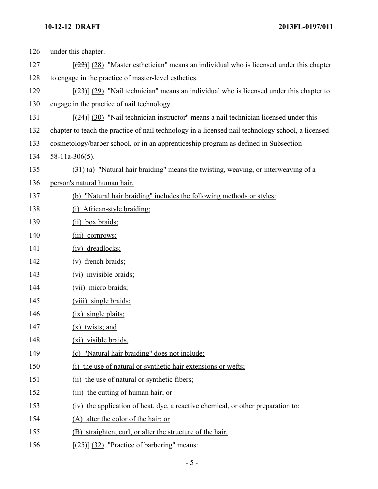| 126 | under this chapter.                                                                               |
|-----|---------------------------------------------------------------------------------------------------|
| 127 | $[22]$ (28) "Master esthetician" means an individual who is licensed under this chapter           |
| 128 | to engage in the practice of master-level esthetics.                                              |
| 129 | $[23]$ (29) "Nail technician" means an individual who is licensed under this chapter to           |
| 130 | engage in the practice of nail technology.                                                        |
| 131 | $[24]$ (30) "Nail technician instructor" means a nail technician licensed under this              |
| 132 | chapter to teach the practice of nail technology in a licensed nail technology school, a licensed |
| 133 | cosmetology/barber school, or in an apprenticeship program as defined in Subsection               |
| 134 | $58-11a-306(5)$ .                                                                                 |
| 135 | (31) (a) "Natural hair braiding" means the twisting, weaving, or interweaving of a                |
| 136 | person's natural human hair.                                                                      |
| 137 | (b) "Natural hair braiding" includes the following methods or styles:                             |
| 138 | (i) African-style braiding:                                                                       |
| 139 | $(ii)$ box braids;                                                                                |
| 140 | (iii) cornrows;                                                                                   |
| 141 | (iv) dreadlocks;                                                                                  |
| 142 | (v) french braids;                                                                                |
| 143 | (vi) invisible braids;                                                                            |
| 144 | (vii) micro braids;                                                                               |
| 145 | (viii) single braids;                                                                             |
| 146 | (ix) single plaits;                                                                               |
| 147 | twists; and<br>(X)                                                                                |
| 148 | (xi) visible braids.                                                                              |
| 149 | (c) "Natural hair braiding" does not include:                                                     |
| 150 | (i) the use of natural or synthetic hair extensions or wefts;                                     |
| 151 | (ii) the use of natural or synthetic fibers;                                                      |
| 152 | (iii) the cutting of human hair; or                                                               |
| 153 | (iv) the application of heat, dye, a reactive chemical, or other preparation to:                  |
| 154 | (A) alter the color of the hair; or                                                               |
| 155 | (B) straighten, curl, or alter the structure of the hair.                                         |
| 156 | $[\frac{(25)}{(32)}]$ "Practice of barbering" means:                                              |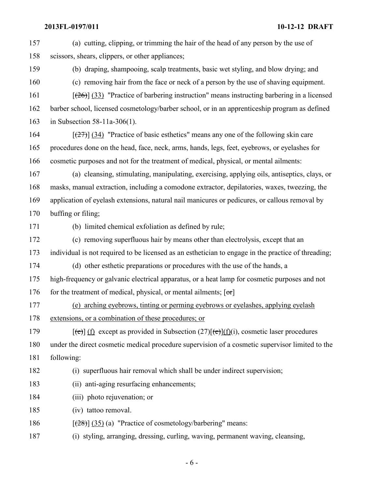| 157 | (a) cutting, clipping, or trimming the hair of the head of any person by the use of                                       |
|-----|---------------------------------------------------------------------------------------------------------------------------|
| 158 | scissors, shears, clippers, or other appliances;                                                                          |
| 159 | (b) draping, shampooing, scalp treatments, basic wet styling, and blow drying; and                                        |
| 160 | (c) removing hair from the face or neck of a person by the use of shaving equipment.                                      |
| 161 | $[\frac{(26)}{(33)}]$ "Practice of barbering instruction" means instructing barbering in a licensed                       |
| 162 | barber school, licensed cosmetology/barber school, or in an apprenticeship program as defined                             |
| 163 | in Subsection $58-11a-306(1)$ .                                                                                           |
| 164 | $[27]$ (34) "Practice of basic esthetics" means any one of the following skin care                                        |
| 165 | procedures done on the head, face, neck, arms, hands, legs, feet, eyebrows, or eyelashes for                              |
| 166 | cosmetic purposes and not for the treatment of medical, physical, or mental ailments:                                     |
| 167 | (a) cleansing, stimulating, manipulating, exercising, applying oils, antiseptics, clays, or                               |
| 168 | masks, manual extraction, including a comodone extractor, depilatories, waxes, tweezing, the                              |
| 169 | application of eyelash extensions, natural nail manicures or pedicures, or callous removal by                             |
| 170 | buffing or filing;                                                                                                        |
| 171 | (b) limited chemical exfoliation as defined by rule;                                                                      |
| 172 | (c) removing superfluous hair by means other than electrolysis, except that an                                            |
| 173 | individual is not required to be licensed as an esthetician to engage in the practice of threading;                       |
| 174 | (d) other esthetic preparations or procedures with the use of the hands, a                                                |
| 175 | high-frequency or galvanic electrical apparatus, or a heat lamp for cosmetic purposes and not                             |
| 176 | for the treatment of medical, physical, or mental ailments; $[\sigma r]$                                                  |
| 177 | (e) arching eyebrows, tinting or perming eyebrows or eyelashes, applying eyelash                                          |
| 178 | extensions, or a combination of these procedures; or                                                                      |
| 179 | $[\text{e}(\text{e})]$ (f) except as provided in Subsection (27)[ $\text{e}(\text{e})$ ](f)(i), cosmetic laser procedures |
| 180 | under the direct cosmetic medical procedure supervision of a cosmetic supervisor limited to the                           |
| 181 | following:                                                                                                                |
| 182 | (i) superfluous hair removal which shall be under indirect supervision;                                                   |
| 183 | (ii) anti-aging resurfacing enhancements;                                                                                 |
| 184 | (iii) photo rejuvenation; or                                                                                              |
| 185 | (iv) tattoo removal.                                                                                                      |
| 186 | $[\frac{(28)}{(35)}]$ (a) "Practice of cosmetology/barbering" means:                                                      |
| 187 | (i) styling, arranging, dressing, curling, waving, permanent waving, cleansing,                                           |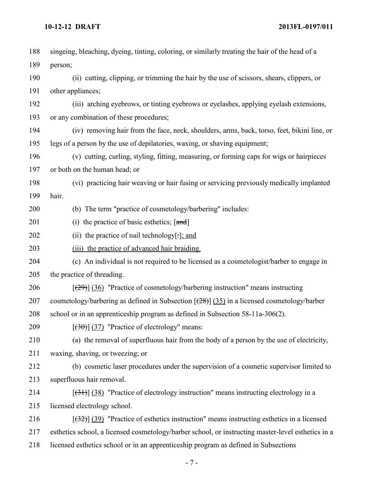| 188 | singeing, bleaching, dyeing, tinting, coloring, or similarly treating the hair of the head of a    |
|-----|----------------------------------------------------------------------------------------------------|
| 189 | person;                                                                                            |
| 190 | (ii) cutting, clipping, or trimming the hair by the use of scissors, shears, clippers, or          |
| 191 | other appliances;                                                                                  |
| 192 | (iii) arching eyebrows, or tinting eyebrows or eyelashes, applying eyelash extensions,             |
| 193 | or any combination of these procedures;                                                            |
| 194 | (iv) removing hair from the face, neck, shoulders, arms, back, torso, feet, bikini line, or        |
| 195 | legs of a person by the use of depilatories, waxing, or shaving equipment;                         |
| 196 | (v) cutting, curling, styling, fitting, measuring, or forming caps for wigs or hairpieces          |
| 197 | or both on the human head; or                                                                      |
| 198 | (vi) practicing hair weaving or hair fusing or servicing previously medically implanted            |
| 199 | hair.                                                                                              |
| 200 | (b) The term "practice of cosmetology/barbering" includes:                                         |
| 201 | (i) the practice of basic esthetics; $[\text{and}]$                                                |
| 202 | (ii) the practice of nail technology $[\cdot]$ ; and                                               |
| 203 | (iii) the practice of advanced hair braiding.                                                      |
| 204 | (c) An individual is not required to be licensed as a cosmetologist/barber to engage in            |
| 205 | the practice of threading.                                                                         |
| 206 | $[29]$ (36) "Practice of cosmetology/barbering instruction" means instructing                      |
| 207 | cosmetology/barbering as defined in Subsection $[(28)]$ (35) in a licensed cosmetology/barber      |
| 208 | school or in an apprenticeship program as defined in Subsection 58-11a-306(2).                     |
| 209 | $[ (30)$ ] $(37)$ "Practice of electrology" means:                                                 |
| 210 | (a) the removal of superfluous hair from the body of a person by the use of electricity,           |
| 211 | waxing, shaving, or tweezing; or                                                                   |
| 212 | (b) cosmetic laser procedures under the supervision of a cosmetic supervisor limited to            |
| 213 | superfluous hair removal.                                                                          |
| 214 | $[\frac{(31)}{(38)}]$ "Practice of electrology instruction" means instructing electrology in a     |
| 215 | licensed electrology school.                                                                       |
| 216 | $(32)$ (39) "Practice of esthetics instruction" means instructing esthetics in a licensed          |
| 217 | esthetics school, a licensed cosmetology/barber school, or instructing master-level esthetics in a |
| 218 | licensed esthetics school or in an apprenticeship program as defined in Subsections                |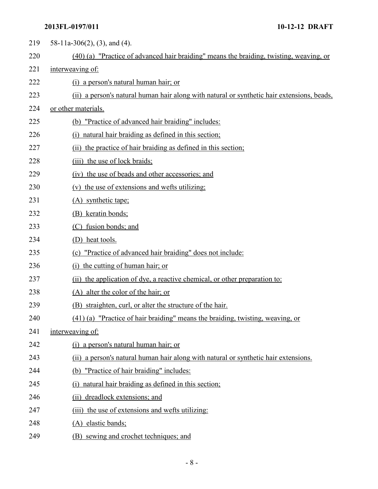| 219 | 58-11a-306(2), (3), and (4).                                                               |
|-----|--------------------------------------------------------------------------------------------|
| 220 | (40) (a) "Practice of advanced hair braiding" means the braiding, twisting, weaving, or    |
| 221 | interweaving of:                                                                           |
| 222 | (i) a person's natural human hair; or                                                      |
| 223 | (ii) a person's natural human hair along with natural or synthetic hair extensions, beads, |
| 224 | or other materials.                                                                        |
| 225 | (b) "Practice of advanced hair braiding" includes:                                         |
| 226 | (i) natural hair braiding as defined in this section;                                      |
| 227 | (ii) the practice of hair braiding as defined in this section;                             |
| 228 | (iii) the use of lock braids;                                                              |
| 229 | (iv) the use of beads and other accessories; and                                           |
| 230 | (v) the use of extensions and wefts utilizing:                                             |
| 231 | (A) synthetic tape;                                                                        |
| 232 | (B) keratin bonds;                                                                         |
| 233 | fusion bonds; and<br>(C)                                                                   |
| 234 | (D) heat tools.                                                                            |
| 235 | "Practice of advanced hair braiding" does not include:<br>(c)                              |
| 236 | (i) the cutting of human hair; or                                                          |
| 237 | (ii) the application of dye, a reactive chemical, or other preparation to:                 |
| 238 | (A) alter the color of the hair; or                                                        |
| 239 | (B) straighten, curl, or alter the structure of the hair.                                  |
| 240 | (41) (a) "Practice of hair braiding" means the braiding, twisting, weaving, or             |
| 241 | interweaving of:                                                                           |
| 242 | (i) a person's natural human hair; or                                                      |
| 243 | (ii) a person's natural human hair along with natural or synthetic hair extensions.        |
| 244 | (b) "Practice of hair braiding" includes:                                                  |
| 245 | (i) natural hair braiding as defined in this section;                                      |
| 246 | (ii) dreadlock extensions; and                                                             |
| 247 | (iii) the use of extensions and wefts utilizing:                                           |
| 248 | (A) elastic bands;                                                                         |
| 249 | (B) sewing and crochet techniques; and                                                     |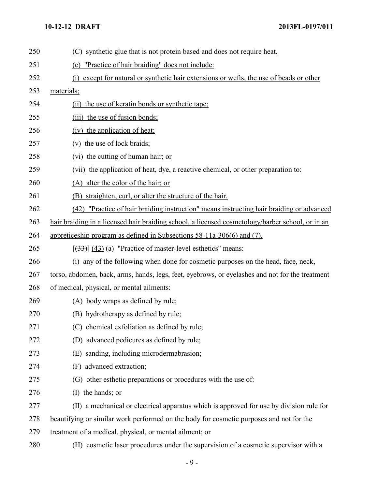| 250 | (C) synthetic glue that is not protein based and does not require heat.                          |
|-----|--------------------------------------------------------------------------------------------------|
| 251 | (c) "Practice of hair braiding" does not include:                                                |
| 252 | (i) except for natural or synthetic hair extensions or wefts, the use of beads or other          |
| 253 | materials;                                                                                       |
| 254 | (ii) the use of keratin bonds or synthetic tape;                                                 |
| 255 | (iii) the use of fusion bonds;                                                                   |
| 256 | (iv) the application of heat;                                                                    |
| 257 | (v) the use of lock braids;                                                                      |
| 258 | (vi) the cutting of human hair; or                                                               |
| 259 | (vii) the application of heat, dye, a reactive chemical, or other preparation to:                |
| 260 | (A) alter the color of the hair; or                                                              |
| 261 | (B) straighten, curl, or alter the structure of the hair.                                        |
| 262 | (42) "Practice of hair braiding instruction" means instructing hair braiding or advanced         |
| 263 | hair braiding in a licensed hair braiding school, a licensed cosmetology/barber school, or in an |
| 264 | appreticeship program as defined in Subsections 58-11a-306(6) and (7).                           |
| 265 | $[(33)]$ (43) (a) "Practice of master-level esthetics" means:                                    |
| 266 | (i) any of the following when done for cosmetic purposes on the head, face, neck,                |
| 267 | torso, abdomen, back, arms, hands, legs, feet, eyebrows, or eyelashes and not for the treatment  |
| 268 | of medical, physical, or mental ailments:                                                        |
| 269 | (A) body wraps as defined by rule;                                                               |
| 270 | (B) hydrotherapy as defined by rule;                                                             |
| 271 | (C) chemical exfoliation as defined by rule;                                                     |
| 272 | (D) advanced pedicures as defined by rule;                                                       |
| 273 | (E) sanding, including microdermabrasion;                                                        |
| 274 | (F) advanced extraction;                                                                         |
| 275 | (G) other esthetic preparations or procedures with the use of:                                   |
| 276 | (I) the hands; or                                                                                |
| 277 | (II) a mechanical or electrical apparatus which is approved for use by division rule for         |
| 278 | beautifying or similar work performed on the body for cosmetic purposes and not for the          |
| 279 | treatment of a medical, physical, or mental ailment; or                                          |
| 280 | (H) cosmetic laser procedures under the supervision of a cosmetic supervisor with a              |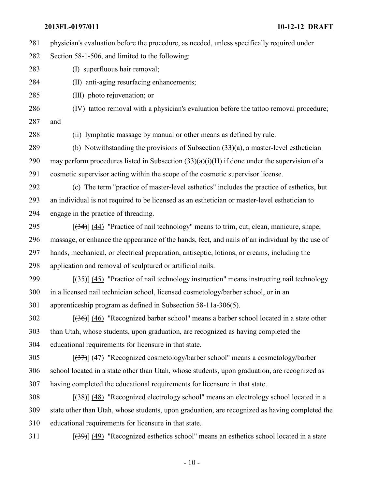physician's evaluation before the procedure, as needed, unless specifically required under

Section 58-1-506, and limited to the following:

(I) superfluous hair removal;

(II) anti-aging resurfacing enhancements;

(III) photo rejuvenation; or

(IV) tattoo removal with a physician's evaluation before the tattoo removal procedure;

and

(ii) lymphatic massage by manual or other means as defined by rule.

 (b) Notwithstanding the provisions of Subsection (33)(a), a master-level esthetician 290 may perform procedures listed in Subsection  $(33)(a)(i)(H)$  if done under the supervision of a cosmetic supervisor acting within the scope of the cosmetic supervisor license.

(c) The term "practice of master-level esthetics" includes the practice of esthetics, but

 an individual is not required to be licensed as an esthetician or master-level esthetician to engage in the practice of threading.

 $\left[\frac{(34)}{(44)}\right]$  (44) "Practice of nail technology" means to trim, cut, clean, manicure, shape, massage, or enhance the appearance of the hands, feet, and nails of an individual by the use of hands, mechanical, or electrical preparation, antiseptic, lotions, or creams, including the application and removal of sculptured or artificial nails.

299  $\left[\frac{(35)}{(45)}\right]$  (45) "Practice of nail technology instruction" means instructing nail technology in a licensed nail technician school, licensed cosmetology/barber school, or in an

apprenticeship program as defined in Subsection 58-11a-306(5).

 [(36)] (46) "Recognized barber school" means a barber school located in a state other than Utah, whose students, upon graduation, are recognized as having completed the educational requirements for licensure in that state.

[(37)] (47) "Recognized cosmetology/barber school" means a cosmetology/barber

school located in a state other than Utah, whose students, upon graduation, are recognized as

having completed the educational requirements for licensure in that state.

308  $[(38)] (48)$  "Recognized electrology school" means an electrology school located in a state other than Utah, whose students, upon graduation, are recognized as having completed the educational requirements for licensure in that state.

[(39)] (49) "Recognized esthetics school" means an esthetics school located in a state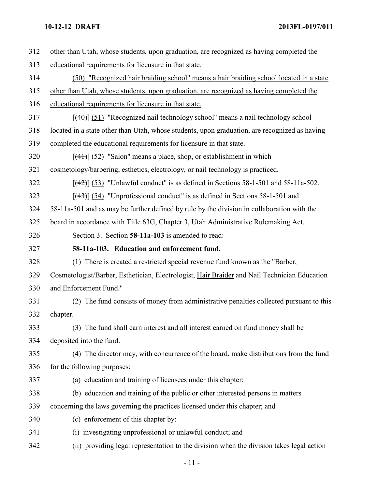| 312 | other than Utah, whose students, upon graduation, are recognized as having completed the      |
|-----|-----------------------------------------------------------------------------------------------|
| 313 | educational requirements for licensure in that state.                                         |
| 314 | (50) "Recognized hair braiding school" means a hair braiding school located in a state        |
| 315 | other than Utah, whose students, upon graduation, are recognized as having completed the      |
| 316 | educational requirements for licensure in that state.                                         |
| 317 | $[$ (40)] $(51)$ "Recognized nail technology school" means a nail technology school           |
| 318 | located in a state other than Utah, whose students, upon graduation, are recognized as having |
| 319 | completed the educational requirements for licensure in that state.                           |
| 320 | $[$ (4+)] (52) "Salon" means a place, shop, or establishment in which                         |
| 321 | cosmetology/barbering, esthetics, electrology, or nail technology is practiced.               |
| 322 | $[$ (42)] (53) "Unlawful conduct" is as defined in Sections 58-1-501 and 58-11a-502.          |
| 323 | $[$ (43)] $[$ (54) "Unprofessional conduct" is as defined in Sections 58-1-501 and            |
| 324 | 58-11a-501 and as may be further defined by rule by the division in collaboration with the    |
| 325 | board in accordance with Title 63G, Chapter 3, Utah Administrative Rulemaking Act.            |
| 326 | Section 3. Section 58-11a-103 is amended to read:                                             |
| 327 | 58-11a-103. Education and enforcement fund.                                                   |
| 328 | (1) There is created a restricted special revenue fund known as the "Barber,                  |
| 329 | Cosmetologist/Barber, Esthetician, Electrologist, Hair Braider and Nail Technician Education  |
| 330 | and Enforcement Fund."                                                                        |
| 331 | (2) The fund consists of money from administrative penalties collected pursuant to this       |
| 332 | chapter.                                                                                      |
| 333 | (3) The fund shall earn interest and all interest earned on fund money shall be               |
| 334 | deposited into the fund.                                                                      |
| 335 | (4) The director may, with concurrence of the board, make distributions from the fund         |
| 336 | for the following purposes:                                                                   |
| 337 | (a) education and training of licensees under this chapter;                                   |
| 338 | (b) education and training of the public or other interested persons in matters               |
| 339 | concerning the laws governing the practices licensed under this chapter; and                  |
| 340 | (c) enforcement of this chapter by:                                                           |
| 341 | (i) investigating unprofessional or unlawful conduct; and                                     |
| 342 | (ii) providing legal representation to the division when the division takes legal action      |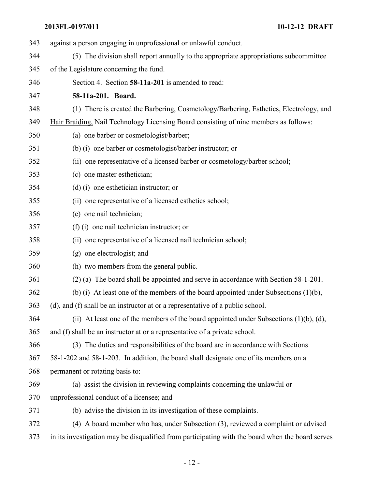| 343 | against a person engaging in unprofessional or unlawful conduct.                                 |
|-----|--------------------------------------------------------------------------------------------------|
| 344 | (5) The division shall report annually to the appropriate appropriations subcommittee            |
| 345 | of the Legislature concerning the fund.                                                          |
| 346 | Section 4. Section 58-11a-201 is amended to read:                                                |
| 347 | 58-11a-201. Board.                                                                               |
| 348 | (1) There is created the Barbering, Cosmetology/Barbering, Esthetics, Electrology, and           |
| 349 | Hair Braiding, Nail Technology Licensing Board consisting of nine members as follows:            |
| 350 | (a) one barber or cosmetologist/barber;                                                          |
| 351 | (b) (i) one barber or cosmetologist/barber instructor; or                                        |
| 352 | (ii) one representative of a licensed barber or cosmetology/barber school;                       |
| 353 | (c) one master esthetician;                                                                      |
| 354 | $(d)$ (i) one esthetician instructor; or                                                         |
| 355 | (ii) one representative of a licensed esthetics school;                                          |
| 356 | (e) one nail technician;                                                                         |
| 357 | $(f)$ (i) one nail technician instructor; or                                                     |
| 358 | (ii) one representative of a licensed nail technician school;                                    |
| 359 | (g) one electrologist; and                                                                       |
| 360 | (h) two members from the general public.                                                         |
| 361 | (2) (a) The board shall be appointed and serve in accordance with Section 58-1-201.              |
| 362 | (b) (i) At least one of the members of the board appointed under Subsections $(1)(b)$ ,          |
| 363 | (d), and (f) shall be an instructor at or a representative of a public school.                   |
| 364 | (ii) At least one of the members of the board appointed under Subsections $(1)(b)$ , $(d)$ ,     |
| 365 | and (f) shall be an instructor at or a representative of a private school.                       |
| 366 | (3) The duties and responsibilities of the board are in accordance with Sections                 |
| 367 | 58-1-202 and 58-1-203. In addition, the board shall designate one of its members on a            |
| 368 | permanent or rotating basis to:                                                                  |
| 369 | (a) assist the division in reviewing complaints concerning the unlawful or                       |
| 370 | unprofessional conduct of a licensee; and                                                        |
| 371 | (b) advise the division in its investigation of these complaints.                                |
| 372 | (4) A board member who has, under Subsection (3), reviewed a complaint or advised                |
| 373 | in its investigation may be disqualified from participating with the board when the board serves |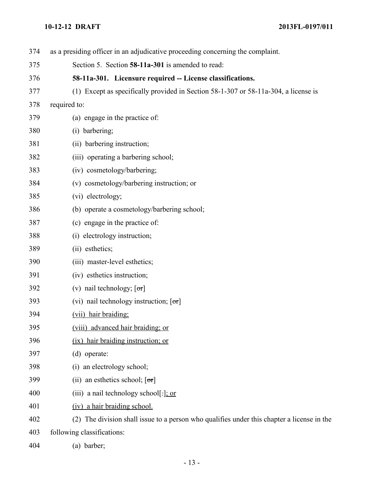| 374 | as a presiding officer in an adjudicative proceeding concerning the complaint.             |
|-----|--------------------------------------------------------------------------------------------|
| 375 | Section 5. Section 58-11a-301 is amended to read:                                          |
| 376 | 58-11a-301. Licensure required -- License classifications.                                 |
| 377 | (1) Except as specifically provided in Section 58-1-307 or 58-11a-304, a license is        |
| 378 | required to:                                                                               |
| 379 | (a) engage in the practice of:                                                             |
| 380 | (i) barbering;                                                                             |
| 381 | (ii) barbering instruction;                                                                |
| 382 | (iii) operating a barbering school;                                                        |
| 383 | (iv) cosmetology/barbering;                                                                |
| 384 | (v) cosmetology/barbering instruction; or                                                  |
| 385 | (vi) electrology;                                                                          |
| 386 | (b) operate a cosmetology/barbering school;                                                |
| 387 | (c) engage in the practice of:                                                             |
| 388 | (i) electrology instruction;                                                               |
| 389 | (ii) esthetics;                                                                            |
| 390 | (iii) master-level esthetics;                                                              |
| 391 | (iv) esthetics instruction;                                                                |
| 392 | (v) nail technology; $[\sigma\tau]$                                                        |
| 393 | (vi) nail technology instruction; $[\sigma\tau]$                                           |
| 394 | (vii) hair braiding;                                                                       |
| 395 | (viii) advanced hair braiding; or                                                          |
| 396 | (ix) hair braiding instruction; or                                                         |
| 397 | (d) operate:                                                                               |
| 398 | (i) an electrology school;                                                                 |
| 399 | (ii) an esthetics school; $[\sigma\tau]$                                                   |
| 400 | (iii) a nail technology school[ $\exists$ ]; or                                            |
| 401 | (iv) a hair braiding school.                                                               |
| 402 | (2) The division shall issue to a person who qualifies under this chapter a license in the |
| 403 | following classifications:                                                                 |
|     |                                                                                            |

(a) barber;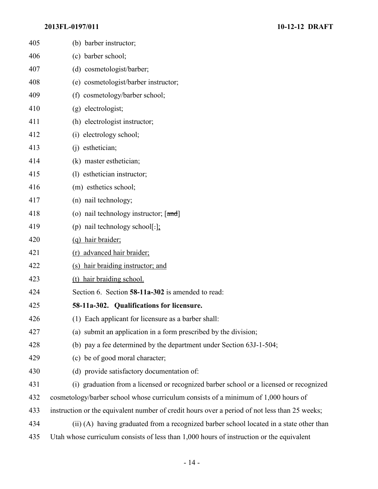| 405 | (b) barber instructor;                                                                        |
|-----|-----------------------------------------------------------------------------------------------|
| 406 | (c) barber school;                                                                            |
| 407 | (d) cosmetologist/barber;                                                                     |
| 408 | (e) cosmetologist/barber instructor;                                                          |
| 409 | (f) cosmetology/barber school;                                                                |
| 410 | (g) electrologist;                                                                            |
| 411 | (h) electrologist instructor;                                                                 |
| 412 | (i) electrology school;                                                                       |
| 413 | (j) esthetician;                                                                              |
| 414 | (k) master esthetician;                                                                       |
| 415 | (1) esthetician instructor;                                                                   |
| 416 | (m) esthetics school;                                                                         |
| 417 | (n) nail technology;                                                                          |
| 418 | (o) nail technology instructor; [and]                                                         |
| 419 | (p) nail technology school[ $:$ ]:                                                            |
| 420 | (q) hair braider;                                                                             |
| 421 | (r) advanced hair braider;                                                                    |
| 422 | (s) hair braiding instructor; and                                                             |
| 423 | (t) hair braiding school.                                                                     |
| 424 | Section 6. Section 58-11a-302 is amended to read:                                             |
| 425 | 58-11a-302. Qualifications for licensure.                                                     |
| 426 | (1) Each applicant for licensure as a barber shall:                                           |
| 427 | (a) submit an application in a form prescribed by the division;                               |
| 428 | (b) pay a fee determined by the department under Section 63J-1-504;                           |
| 429 | (c) be of good moral character;                                                               |
| 430 | (d) provide satisfactory documentation of:                                                    |
| 431 | (i) graduation from a licensed or recognized barber school or a licensed or recognized        |
| 432 | cosmetology/barber school whose curriculum consists of a minimum of 1,000 hours of            |
| 433 | instruction or the equivalent number of credit hours over a period of not less than 25 weeks; |
| 434 | (ii) (A) having graduated from a recognized barber school located in a state other than       |
| 435 | Utah whose curriculum consists of less than 1,000 hours of instruction or the equivalent      |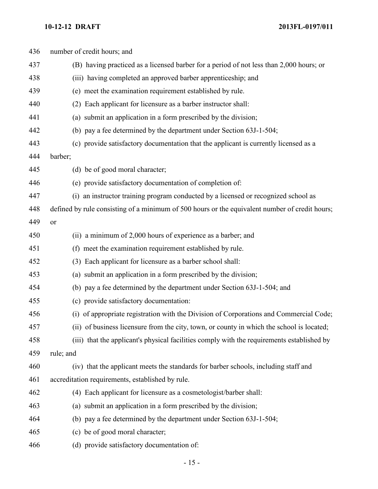| number of credit hours; and                                                                    |
|------------------------------------------------------------------------------------------------|
| (B) having practiced as a licensed barber for a period of not less than 2,000 hours; or        |
| (iii) having completed an approved barber apprenticeship; and                                  |
| (e) meet the examination requirement established by rule.                                      |
| (2) Each applicant for licensure as a barber instructor shall:                                 |
| (a) submit an application in a form prescribed by the division;                                |
| (b) pay a fee determined by the department under Section 63J-1-504;                            |
| (c) provide satisfactory documentation that the applicant is currently licensed as a           |
| barber;                                                                                        |
| (d) be of good moral character;                                                                |
| (e) provide satisfactory documentation of completion of:                                       |
| (i) an instructor training program conducted by a licensed or recognized school as             |
| defined by rule consisting of a minimum of 500 hours or the equivalent number of credit hours; |
| <b>or</b>                                                                                      |
| (ii) a minimum of 2,000 hours of experience as a barber; and                                   |
| (f) meet the examination requirement established by rule.                                      |
| (3) Each applicant for licensure as a barber school shall:                                     |
| (a) submit an application in a form prescribed by the division;                                |
| (b) pay a fee determined by the department under Section 63J-1-504; and                        |
| (c) provide satisfactory documentation:                                                        |
| (i) of appropriate registration with the Division of Corporations and Commercial Code;         |
| (ii) of business licensure from the city, town, or county in which the school is located;      |
| (iii) that the applicant's physical facilities comply with the requirements established by     |
| rule; and                                                                                      |
| (iv) that the applicant meets the standards for barber schools, including staff and            |
| accreditation requirements, established by rule.                                               |
| (4) Each applicant for licensure as a cosmetologist/barber shall:                              |
| (a) submit an application in a form prescribed by the division;                                |
| (b) pay a fee determined by the department under Section 63J-1-504;                            |
| (c) be of good moral character;                                                                |
|                                                                                                |
|                                                                                                |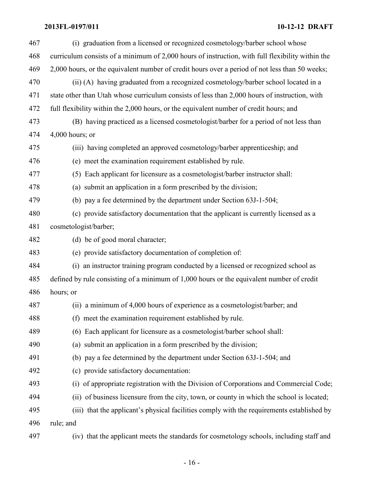| 467 | (i) graduation from a licensed or recognized cosmetology/barber school whose                     |
|-----|--------------------------------------------------------------------------------------------------|
|     |                                                                                                  |
| 468 | curriculum consists of a minimum of 2,000 hours of instruction, with full flexibility within the |
| 469 | 2,000 hours, or the equivalent number of credit hours over a period of not less than 50 weeks;   |
| 470 | (ii) (A) having graduated from a recognized cosmetology/barber school located in a               |
| 471 | state other than Utah whose curriculum consists of less than 2,000 hours of instruction, with    |
| 472 | full flexibility within the 2,000 hours, or the equivalent number of credit hours; and           |
| 473 | (B) having practiced as a licensed cosmetologist/barber for a period of not less than            |
| 474 | $4,000$ hours; or                                                                                |
| 475 | (iii) having completed an approved cosmetology/barber apprenticeship; and                        |
| 476 | (e) meet the examination requirement established by rule.                                        |
| 477 | (5) Each applicant for licensure as a cosmetologist/barber instructor shall:                     |
| 478 | (a) submit an application in a form prescribed by the division;                                  |
| 479 | (b) pay a fee determined by the department under Section 63J-1-504;                              |
| 480 | (c) provide satisfactory documentation that the applicant is currently licensed as a             |
| 481 | cosmetologist/barber;                                                                            |
| 482 | (d) be of good moral character;                                                                  |
| 483 | (e) provide satisfactory documentation of completion of:                                         |
| 484 | (i) an instructor training program conducted by a licensed or recognized school as               |
| 485 | defined by rule consisting of a minimum of 1,000 hours or the equivalent number of credit        |
| 486 | hours; or                                                                                        |
| 487 | (ii) a minimum of 4,000 hours of experience as a cosmetologist/barber; and                       |
| 488 | (f) meet the examination requirement established by rule.                                        |
| 489 | (6) Each applicant for licensure as a cosmetologist/barber school shall:                         |
| 490 | (a) submit an application in a form prescribed by the division;                                  |
| 491 | (b) pay a fee determined by the department under Section 63J-1-504; and                          |
| 492 | (c) provide satisfactory documentation:                                                          |
| 493 | (i) of appropriate registration with the Division of Corporations and Commercial Code;           |
| 494 | (ii) of business licensure from the city, town, or county in which the school is located;        |
| 495 | (iii) that the applicant's physical facilities comply with the requirements established by       |
| 496 | rule; and                                                                                        |
| 497 | (iv) that the applicant meets the standards for cosmetology schools, including staff and         |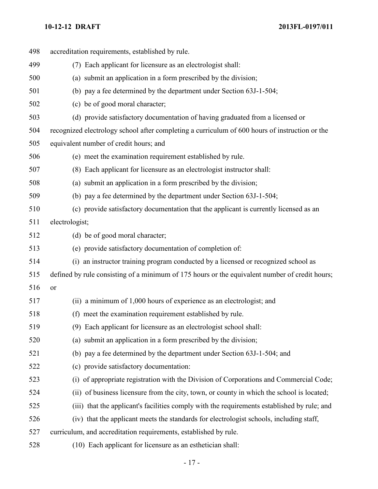| 498 |                | accreditation requirements, established by rule.                                               |
|-----|----------------|------------------------------------------------------------------------------------------------|
| 499 |                | (7) Each applicant for licensure as an electrologist shall:                                    |
| 500 |                | (a) submit an application in a form prescribed by the division;                                |
| 501 |                | (b) pay a fee determined by the department under Section 63J-1-504;                            |
| 502 |                | (c) be of good moral character;                                                                |
| 503 |                | (d) provide satisfactory documentation of having graduated from a licensed or                  |
| 504 |                | recognized electrology school after completing a curriculum of 600 hours of instruction or the |
| 505 |                | equivalent number of credit hours; and                                                         |
| 506 |                | (e) meet the examination requirement established by rule.                                      |
| 507 |                | (8) Each applicant for licensure as an electrologist instructor shall:                         |
| 508 |                | (a) submit an application in a form prescribed by the division;                                |
| 509 |                | (b) pay a fee determined by the department under Section 63J-1-504;                            |
| 510 |                | (c) provide satisfactory documentation that the applicant is currently licensed as an          |
| 511 | electrologist; |                                                                                                |
| 512 |                | (d) be of good moral character;                                                                |
| 513 |                | (e) provide satisfactory documentation of completion of:                                       |
| 514 |                | (i) an instructor training program conducted by a licensed or recognized school as             |
| 515 |                | defined by rule consisting of a minimum of 175 hours or the equivalent number of credit hours; |
| 516 | or             |                                                                                                |
| 517 |                | (ii) a minimum of 1,000 hours of experience as an electrologist; and                           |
| 518 |                | (f) meet the examination requirement established by rule.                                      |
| 519 |                | (9) Each applicant for licensure as an electrologist school shall:                             |
| 520 |                | (a) submit an application in a form prescribed by the division;                                |
| 521 |                | (b) pay a fee determined by the department under Section 63J-1-504; and                        |
| 522 |                | (c) provide satisfactory documentation:                                                        |
| 523 |                | (i) of appropriate registration with the Division of Corporations and Commercial Code;         |
| 524 |                | (ii) of business licensure from the city, town, or county in which the school is located;      |
| 525 |                | (iii) that the applicant's facilities comply with the requirements established by rule; and    |
| 526 |                | (iv) that the applicant meets the standards for electrologist schools, including staff,        |
| 527 |                | curriculum, and accreditation requirements, established by rule.                               |
| 528 |                | (10) Each applicant for licensure as an esthetician shall:                                     |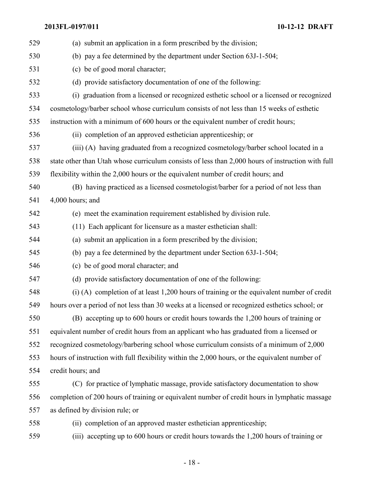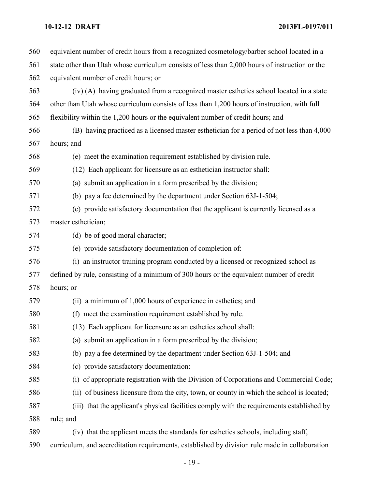| 560 | equivalent number of credit hours from a recognized cosmetology/barber school located in a     |
|-----|------------------------------------------------------------------------------------------------|
| 561 | state other than Utah whose curriculum consists of less than 2,000 hours of instruction or the |
| 562 | equivalent number of credit hours; or                                                          |
| 563 | (iv) (A) having graduated from a recognized master esthetics school located in a state         |
| 564 | other than Utah whose curriculum consists of less than 1,200 hours of instruction, with full   |
| 565 | flexibility within the 1,200 hours or the equivalent number of credit hours; and               |
| 566 | (B) having practiced as a licensed master esthetician for a period of not less than 4,000      |
| 567 | hours; and                                                                                     |
| 568 | (e) meet the examination requirement established by division rule.                             |
| 569 | (12) Each applicant for licensure as an esthetician instructor shall:                          |
| 570 | (a) submit an application in a form prescribed by the division;                                |
| 571 | (b) pay a fee determined by the department under Section 63J-1-504;                            |
| 572 | (c) provide satisfactory documentation that the applicant is currently licensed as a           |
| 573 | master esthetician;                                                                            |
| 574 | (d) be of good moral character;                                                                |
| 575 | (e) provide satisfactory documentation of completion of:                                       |
| 576 | (i) an instructor training program conducted by a licensed or recognized school as             |
| 577 | defined by rule, consisting of a minimum of 300 hours or the equivalent number of credit       |
| 578 | hours; or                                                                                      |
| 579 | (ii) a minimum of 1,000 hours of experience in esthetics; and                                  |
| 580 | (f) meet the examination requirement established by rule.                                      |
| 581 | (13) Each applicant for licensure as an esthetics school shall:                                |
| 582 | (a) submit an application in a form prescribed by the division;                                |
| 583 | (b) pay a fee determined by the department under Section 63J-1-504; and                        |
| 584 | (c) provide satisfactory documentation:                                                        |
| 585 | (i) of appropriate registration with the Division of Corporations and Commercial Code;         |
| 586 | (ii) of business licensure from the city, town, or county in which the school is located;      |
| 587 | (iii) that the applicant's physical facilities comply with the requirements established by     |
| 588 | rule; and                                                                                      |
| 589 | (iv) that the applicant meets the standards for esthetics schools, including staff,            |
| 590 | curriculum, and accreditation requirements, established by division rule made in collaboration |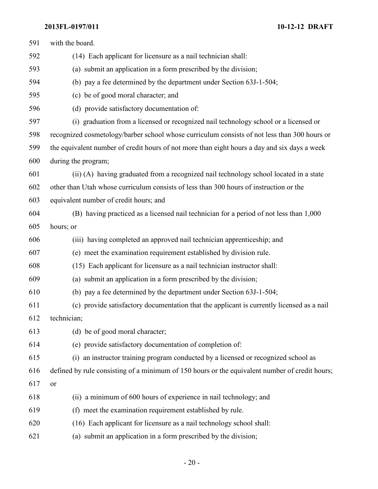| 591 | with the board.                                                                                |
|-----|------------------------------------------------------------------------------------------------|
| 592 | (14) Each applicant for licensure as a nail technician shall:                                  |
| 593 | (a) submit an application in a form prescribed by the division;                                |
| 594 | (b) pay a fee determined by the department under Section 63J-1-504;                            |
| 595 | (c) be of good moral character; and                                                            |
| 596 | (d) provide satisfactory documentation of:                                                     |
| 597 | (i) graduation from a licensed or recognized nail technology school or a licensed or           |
| 598 | recognized cosmetology/barber school whose curriculum consists of not less than 300 hours or   |
| 599 | the equivalent number of credit hours of not more than eight hours a day and six days a week   |
| 600 | during the program;                                                                            |
| 601 | (ii) (A) having graduated from a recognized nail technology school located in a state          |
| 602 | other than Utah whose curriculum consists of less than 300 hours of instruction or the         |
| 603 | equivalent number of credit hours; and                                                         |
| 604 | (B) having practiced as a licensed nail technician for a period of not less than 1,000         |
| 605 | hours; or                                                                                      |
| 606 | (iii) having completed an approved nail technician apprenticeship; and                         |
| 607 | (e) meet the examination requirement established by division rule.                             |
| 608 | (15) Each applicant for licensure as a nail technician instructor shall:                       |
| 609 | (a) submit an application in a form prescribed by the division;                                |
| 610 | (b) pay a fee determined by the department under Section 63J-1-504;                            |
| 611 | (c) provide satisfactory documentation that the applicant is currently licensed as a nail      |
| 612 | technician;                                                                                    |
| 613 | (d) be of good moral character;                                                                |
| 614 | (e) provide satisfactory documentation of completion of:                                       |
| 615 | (i) an instructor training program conducted by a licensed or recognized school as             |
| 616 | defined by rule consisting of a minimum of 150 hours or the equivalent number of credit hours; |
| 617 | <b>or</b>                                                                                      |
| 618 | (ii) a minimum of 600 hours of experience in nail technology; and                              |
| 619 | (f) meet the examination requirement established by rule.                                      |
| 620 | (16) Each applicant for licensure as a nail technology school shall:                           |
| 621 | (a) submit an application in a form prescribed by the division;                                |

- 20 -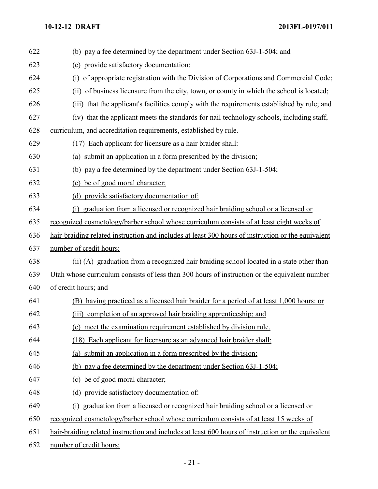| 622 | (b) pay a fee determined by the department under Section 63J-1-504; and                            |
|-----|----------------------------------------------------------------------------------------------------|
| 623 | (c) provide satisfactory documentation:                                                            |
| 624 | (i) of appropriate registration with the Division of Corporations and Commercial Code;             |
| 625 | (ii) of business licensure from the city, town, or county in which the school is located;          |
| 626 | (iii) that the applicant's facilities comply with the requirements established by rule; and        |
| 627 | (iv) that the applicant meets the standards for nail technology schools, including staff,          |
| 628 | curriculum, and accreditation requirements, established by rule.                                   |
| 629 | (17) Each applicant for licensure as a hair braider shall:                                         |
| 630 | (a) submit an application in a form prescribed by the division;                                    |
| 631 | (b) pay a fee determined by the department under Section 63J-1-504;                                |
| 632 | (c) be of good moral character;                                                                    |
| 633 | (d) provide satisfactory documentation of:                                                         |
| 634 | (i) graduation from a licensed or recognized hair braiding school or a licensed or                 |
| 635 | recognized cosmetology/barber school whose curriculum consists of at least eight weeks of          |
| 636 | hair-braiding related instruction and includes at least 300 hours of instruction or the equivalent |
| 637 | number of credit hours;                                                                            |
| 638 | (ii) (A) graduation from a recognized hair braiding school located in a state other than           |
| 639 | Utah whose curriculum consists of less than 300 hours of instruction or the equivalent number      |
| 640 | of credit hours; and                                                                               |
| 641 | (B) having practiced as a licensed hair braider for a period of at least 1,000 hours: or           |
| 642 | completion of an approved hair braiding apprenticeship; and<br>(iii)                               |
| 643 | (e) meet the examination requirement established by division rule.                                 |
| 644 | (18) Each applicant for licensure as an advanced hair braider shall:                               |
| 645 | (a) submit an application in a form prescribed by the division;                                    |
| 646 | (b) pay a fee determined by the department under Section 63J-1-504;                                |
| 647 | (c) be of good moral character;                                                                    |
| 648 | (d) provide satisfactory documentation of:                                                         |
| 649 | (i) graduation from a licensed or recognized hair braiding school or a licensed or                 |
| 650 | recognized cosmetology/barber school whose curriculum consists of at least 15 weeks of             |
| 651 | hair-braiding related instruction and includes at least 600 hours of instruction or the equivalent |
| 652 | number of credit hours;                                                                            |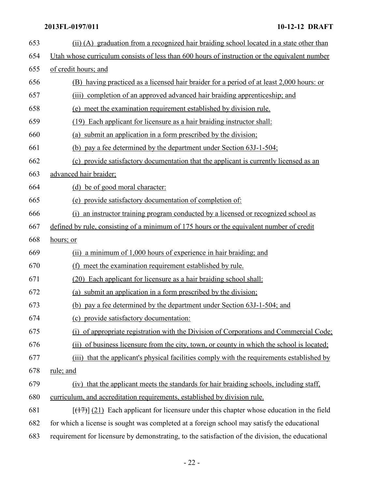| 653 | (ii) (A) graduation from a recognized hair braiding school located in a state other than         |  |  |
|-----|--------------------------------------------------------------------------------------------------|--|--|
| 654 | Utah whose curriculum consists of less than 600 hours of instruction or the equivalent number    |  |  |
| 655 | of credit hours; and                                                                             |  |  |
| 656 | (B) having practiced as a licensed hair braider for a period of at least 2,000 hours: or         |  |  |
| 657 | completion of an approved advanced hair braiding apprenticeship; and<br>(iii)                    |  |  |
| 658 | (e) meet the examination requirement established by division rule.                               |  |  |
| 659 | (19) Each applicant for licensure as a hair braiding instructor shall:                           |  |  |
| 660 | (a) submit an application in a form prescribed by the division;                                  |  |  |
| 661 | (b) pay a fee determined by the department under Section 63J-1-504;                              |  |  |
| 662 | (c) provide satisfactory documentation that the applicant is currently licensed as an            |  |  |
| 663 | advanced hair braider;                                                                           |  |  |
| 664 | (d) be of good moral character:                                                                  |  |  |
| 665 | (e) provide satisfactory documentation of completion of:                                         |  |  |
| 666 | (i) an instructor training program conducted by a licensed or recognized school as               |  |  |
| 667 | defined by rule, consisting of a minimum of 175 hours or the equivalent number of credit         |  |  |
| 668 | hours; or                                                                                        |  |  |
| 669 | (ii) a minimum of 1,000 hours of experience in hair braiding; and                                |  |  |
| 670 | meet the examination requirement established by rule.<br>(f)                                     |  |  |
| 671 | (20) Each applicant for licensure as a hair braiding school shall:                               |  |  |
| 672 | (a) submit an application in a form prescribed by the division;                                  |  |  |
| 673 | (b) pay a fee determined by the department under Section 63J-1-504; and                          |  |  |
| 674 | (c) provide satisfactory documentation:                                                          |  |  |
| 675 | (i) of appropriate registration with the Division of Corporations and Commercial Code;           |  |  |
| 676 | (ii) of business licensure from the city, town, or county in which the school is located;        |  |  |
| 677 | that the applicant's physical facilities comply with the requirements established by<br>(iii)    |  |  |
| 678 | rule; and                                                                                        |  |  |
| 679 | (iv) that the applicant meets the standards for hair braiding schools, including staff,          |  |  |
| 680 | curriculum, and accreditation requirements, established by division rule.                        |  |  |
| 681 | $[ (17)$ ] (21) Each applicant for licensure under this chapter whose education in the field     |  |  |
| 682 | for which a license is sought was completed at a foreign school may satisfy the educational      |  |  |
| 683 | requirement for licensure by demonstrating, to the satisfaction of the division, the educational |  |  |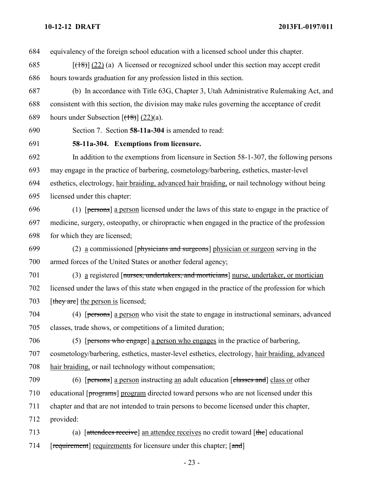equivalency of the foreign school education with a licensed school under this chapter.

685  $[(18)(22)(a)$  A licensed or recognized school under this section may accept credit hours towards graduation for any profession listed in this section.

 (b) In accordance with Title 63G, Chapter 3, Utah Administrative Rulemaking Act, and consistent with this section, the division may make rules governing the acceptance of credit 689 hours under Subsection  $[({18})]$  (22)(a).

Section 7. Section **58-11a-304** is amended to read:

**58-11a-304. Exemptions from licensure.**

 In addition to the exemptions from licensure in Section 58-1-307, the following persons may engage in the practice of barbering, cosmetology/barbering, esthetics, master-level esthetics, electrology, hair braiding, advanced hair braiding, or nail technology without being licensed under this chapter:

696 (1)  $[**persons**]$  a person licensed under the laws of this state to engage in the practice of medicine, surgery, osteopathy, or chiropractic when engaged in the practice of the profession for which they are licensed;

699 (2) a commissioned [physicians and surgeons] physician or surgeon serving in the armed forces of the United States or another federal agency;

 (3) a registered [nurses, undertakers, and morticians] nurse, undertaker, or mortician licensed under the laws of this state when engaged in the practice of the profession for which 703 [they are] the person is licensed;

 (4) [persons] a person who visit the state to engage in instructional seminars, advanced classes, trade shows, or competitions of a limited duration;

 (5) [persons who engage] a person who engages in the practice of barbering, cosmetology/barbering, esthetics, master-level esthetics, electrology, hair braiding, advanced hair braiding, or nail technology without compensation;

 (6) [persons] a person instructing an adult education [classes and] class or other 710 educational [programs] program directed toward persons who are not licensed under this chapter and that are not intended to train persons to become licensed under this chapter, provided:

 (a) [attendees receive] an attendee receives no credit toward [the] educational 714 [requirement] requirements for licensure under this chapter; [and]

- 23 -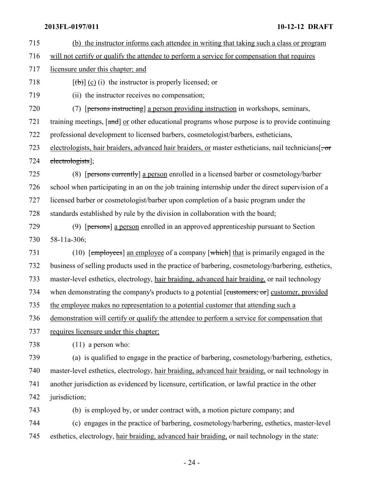- (b) the instructor informs each attendee in writing that taking such a class or program will not certify or qualify the attendee to perform a service for compensation that requires licensure under this chapter; and 718  $[\left(\frac{b}{b}\right)]$  (c) (i) the instructor is properly licensed; or
- (ii) the instructor receives no compensation;
- (7) [persons instructing] a person providing instruction in workshops, seminars,

721 training meetings, [and] or other educational programs whose purpose is to provide continuing

professional development to licensed barbers, cosmetologist/barbers, estheticians,

723 electrologists, hair braiders, advanced hair braiders, or master estheticians, nail technicians[ $\pm$ or electrologists];

 (8) [persons currently] a person enrolled in a licensed barber or cosmetology/barber school when participating in an on the job training internship under the direct supervision of a licensed barber or cosmetologist/barber upon completion of a basic program under the standards established by rule by the division in collaboration with the board;

 (9) [persons] a person enrolled in an approved apprenticeship pursuant to Section 58-11a-306;

 (10) [employees] an employee of a company [which] that is primarily engaged in the business of selling products used in the practice of barbering, cosmetology/barbering, esthetics, master-level esthetics, electrology, hair braiding, advanced hair braiding, or nail technology 734 when demonstrating the company's products to a potential [customers; or] customer, provided the employee makes no representation to a potential customer that attending such a demonstration will certify or qualify the attendee to perform a service for compensation that

requires licensure under this chapter;

(11) a person who:

 (a) is qualified to engage in the practice of barbering, cosmetology/barbering, esthetics, master-level esthetics, electrology, hair braiding, advanced hair braiding, or nail technology in another jurisdiction as evidenced by licensure, certification, or lawful practice in the other 742 jurisdiction;

(b) is employed by, or under contract with, a motion picture company; and

 (c) engages in the practice of barbering, cosmetology/barbering, esthetics, master-level esthetics, electrology, hair braiding, advanced hair braiding, or nail technology in the state: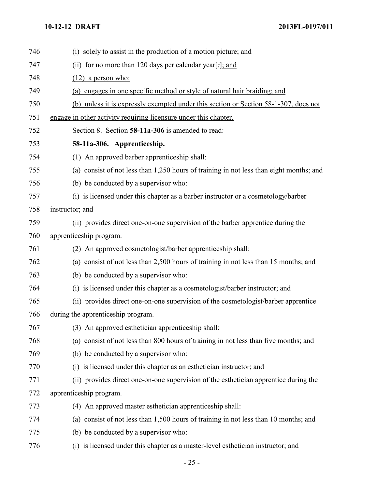| 746 | (i) solely to assist in the production of a motion picture; and                         |
|-----|-----------------------------------------------------------------------------------------|
| 747 | (ii) for no more than 120 days per calendar year[-]; and                                |
| 748 | $(12)$ a person who:                                                                    |
| 749 | (a) engages in one specific method or style of natural hair braiding; and               |
| 750 | (b) unless it is expressly exempted under this section or Section 58-1-307, does not    |
| 751 | engage in other activity requiring licensure under this chapter.                        |
| 752 | Section 8. Section 58-11a-306 is amended to read:                                       |
| 753 | 58-11a-306. Apprenticeship.                                                             |
| 754 | (1) An approved barber apprenticeship shall:                                            |
| 755 | (a) consist of not less than 1,250 hours of training in not less than eight months; and |
| 756 | (b) be conducted by a supervisor who:                                                   |
| 757 | (i) is licensed under this chapter as a barber instructor or a cosmetology/barber       |
| 758 | instructor; and                                                                         |
| 759 | (ii) provides direct one-on-one supervision of the barber apprentice during the         |
| 760 | apprenticeship program.                                                                 |
| 761 | (2) An approved cosmetologist/barber apprenticeship shall:                              |
| 762 | (a) consist of not less than 2,500 hours of training in not less than 15 months; and    |
| 763 | (b) be conducted by a supervisor who:                                                   |
| 764 | (i) is licensed under this chapter as a cosmetologist/barber instructor; and            |
| 765 | (ii) provides direct one-on-one supervision of the cosmetologist/barber apprentice      |
| 766 | during the apprenticeship program.                                                      |
| 767 | (3) An approved esthetician apprenticeship shall:                                       |
| 768 | (a) consist of not less than 800 hours of training in not less than five months; and    |
| 769 | (b) be conducted by a supervisor who:                                                   |
| 770 | (i) is licensed under this chapter as an esthetician instructor; and                    |
| 771 | (ii) provides direct one-on-one supervision of the esthetician apprentice during the    |
| 772 | apprenticeship program.                                                                 |
| 773 | (4) An approved master esthetician apprenticeship shall:                                |
| 774 | (a) consist of not less than 1,500 hours of training in not less than 10 months; and    |
| 775 | (b) be conducted by a supervisor who:                                                   |
| 776 | (i) is licensed under this chapter as a master-level esthetician instructor; and        |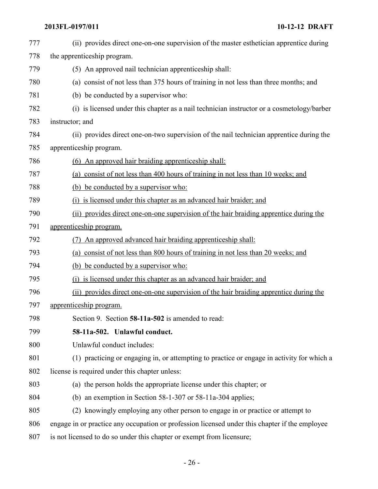| 777 | (ii) provides direct one-on-one supervision of the master esthetician apprentice during        |
|-----|------------------------------------------------------------------------------------------------|
| 778 | the apprenticeship program.                                                                    |
| 779 | (5) An approved nail technician apprenticeship shall:                                          |
| 780 | (a) consist of not less than 375 hours of training in not less than three months; and          |
| 781 | (b) be conducted by a supervisor who:                                                          |
| 782 | (i) is licensed under this chapter as a nail technician instructor or a cosmetology/barber     |
| 783 | instructor; and                                                                                |
| 784 | (ii) provides direct one-on-two supervision of the nail technician apprentice during the       |
| 785 | apprenticeship program.                                                                        |
| 786 | (6) An approved hair braiding apprenticeship shall:                                            |
| 787 | (a) consist of not less than 400 hours of training in not less than 10 weeks; and              |
| 788 | (b) be conducted by a supervisor who:                                                          |
| 789 | (i) is licensed under this chapter as an advanced hair braider; and                            |
| 790 | (ii) provides direct one-on-one supervision of the hair braiding apprentice during the         |
| 791 | apprenticeship program.                                                                        |
| 792 | (7) An approved advanced hair braiding apprenticeship shall:                                   |
| 793 | (a) consist of not less than 800 hours of training in not less than 20 weeks; and              |
| 794 | (b) be conducted by a supervisor who:                                                          |
| 795 | (i) is licensed under this chapter as an advanced hair braider; and                            |
| 796 | (ii) provides direct one-on-one supervision of the hair braiding apprentice during the         |
| 797 | apprenticeship program.                                                                        |
| 798 | Section 9. Section 58-11a-502 is amended to read:                                              |
| 799 | 58-11a-502. Unlawful conduct.                                                                  |
| 800 | Unlawful conduct includes:                                                                     |
| 801 | (1) practicing or engaging in, or attempting to practice or engage in activity for which a     |
| 802 | license is required under this chapter unless:                                                 |
| 803 | (a) the person holds the appropriate license under this chapter; or                            |
| 804 | (b) an exemption in Section $58-1-307$ or $58-11a-304$ applies;                                |
| 805 | (2) knowingly employing any other person to engage in or practice or attempt to                |
| 806 | engage in or practice any occupation or profession licensed under this chapter if the employee |
| 807 | is not licensed to do so under this chapter or exempt from licensure;                          |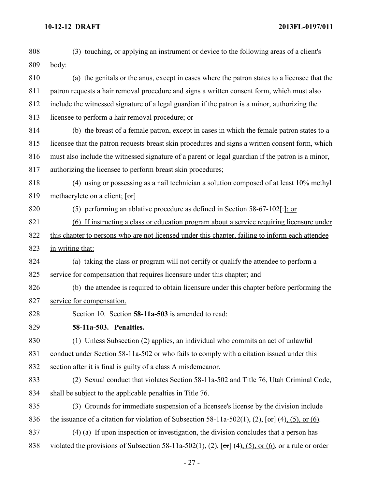| 808 | (3) touching, or applying an instrument or device to the following areas of a client's                        |
|-----|---------------------------------------------------------------------------------------------------------------|
| 809 | body:                                                                                                         |
| 810 | (a) the genitals or the anus, except in cases where the patron states to a licensee that the                  |
| 811 | patron requests a hair removal procedure and signs a written consent form, which must also                    |
| 812 | include the witnessed signature of a legal guardian if the patron is a minor, authorizing the                 |
| 813 | licensee to perform a hair removal procedure; or                                                              |
| 814 | (b) the breast of a female patron, except in cases in which the female patron states to a                     |
| 815 | licensee that the patron requests breast skin procedures and signs a written consent form, which              |
| 816 | must also include the witnessed signature of a parent or legal guardian if the patron is a minor,             |
| 817 | authorizing the licensee to perform breast skin procedures;                                                   |
| 818 | (4) using or possessing as a nail technician a solution composed of at least 10% methyl                       |
| 819 | methacrylete on a client; $[\sigma r]$                                                                        |
| 820 | (5) performing an ablative procedure as defined in Section $58-67-102$ [: ]: or                               |
| 821 | (6) If instructing a class or education program about a service requiring licensure under                     |
| 822 | this chapter to persons who are not licensed under this chapter, failing to inform each attendee              |
| 823 | in writing that:                                                                                              |
| 824 | (a) taking the class or program will not certify or qualify the attendee to perform a                         |
| 825 | service for compensation that requires licensure under this chapter; and                                      |
| 826 | (b) the attendee is required to obtain licensure under this chapter before performing the                     |
| 827 | service for compensation.                                                                                     |
| 828 | Section 10. Section 58-11a-503 is amended to read:                                                            |
| 829 | 58-11a-503. Penalties.                                                                                        |
| 830 | (1) Unless Subsection (2) applies, an individual who commits an act of unlawful                               |
| 831 | conduct under Section 58-11a-502 or who fails to comply with a citation issued under this                     |
| 832 | section after it is final is guilty of a class A misdemeanor.                                                 |
| 833 | (2) Sexual conduct that violates Section 58-11a-502 and Title 76, Utah Criminal Code,                         |
| 834 | shall be subject to the applicable penalties in Title 76.                                                     |
| 835 | (3) Grounds for immediate suspension of a licensee's license by the division include                          |
| 836 | the issuance of a citation for violation of Subsection 58-11a-502(1), (2), $[\sigma r]$ (4), (5), or (6).     |
| 837 | (4) (a) If upon inspection or investigation, the division concludes that a person has                         |
| 838 | violated the provisions of Subsection 58-11a-502(1), (2), $[\sigma\tau]$ (4), (5), or (6), or a rule or order |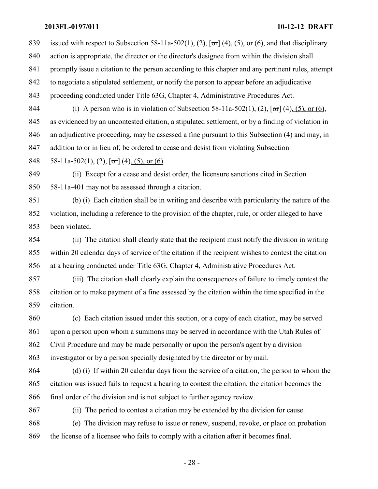839 issued with respect to Subsection 58-11a-502(1), (2),  $\sigma$  (4), (5), or (6), and that disciplinary action is appropriate, the director or the director's designee from within the division shall promptly issue a citation to the person according to this chapter and any pertinent rules, attempt to negotiate a stipulated settlement, or notify the person to appear before an adjudicative proceeding conducted under Title 63G, Chapter 4, Administrative Procedures Act. 844 (i) A person who is in violation of Subsection 58-11a-502(1), (2),  $[\sigma r]$  (4), (5), or (6), as evidenced by an uncontested citation, a stipulated settlement, or by a finding of violation in an adjudicative proceeding, may be assessed a fine pursuant to this Subsection (4) and may, in

addition to or in lieu of, be ordered to cease and desist from violating Subsection

848 58-11a-502(1), (2),  $\lceil \sigma r \rceil$  (4), (5), or (6).

 (ii) Except for a cease and desist order, the licensure sanctions cited in Section 58-11a-401 may not be assessed through a citation.

 (b) (i) Each citation shall be in writing and describe with particularity the nature of the violation, including a reference to the provision of the chapter, rule, or order alleged to have been violated.

 (ii) The citation shall clearly state that the recipient must notify the division in writing within 20 calendar days of service of the citation if the recipient wishes to contest the citation at a hearing conducted under Title 63G, Chapter 4, Administrative Procedures Act.

 (iii) The citation shall clearly explain the consequences of failure to timely contest the citation or to make payment of a fine assessed by the citation within the time specified in the citation.

 (c) Each citation issued under this section, or a copy of each citation, may be served upon a person upon whom a summons may be served in accordance with the Utah Rules of Civil Procedure and may be made personally or upon the person's agent by a division

investigator or by a person specially designated by the director or by mail.

 (d) (i) If within 20 calendar days from the service of a citation, the person to whom the citation was issued fails to request a hearing to contest the citation, the citation becomes the final order of the division and is not subject to further agency review.

(ii) The period to contest a citation may be extended by the division for cause.

 (e) The division may refuse to issue or renew, suspend, revoke, or place on probation the license of a licensee who fails to comply with a citation after it becomes final.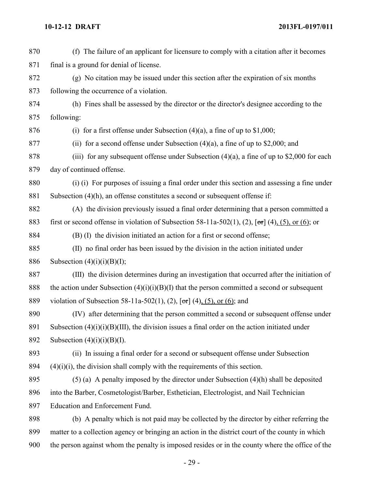(f) The failure of an applicant for licensure to comply with a citation after it becomes final is a ground for denial of license. (g) No citation may be issued under this section after the expiration of six months following the occurrence of a violation. (h) Fines shall be assessed by the director or the director's designee according to the following: 876 (i) for a first offense under Subsection  $(4)(a)$ , a fine of up to \$1,000; 877 (ii) for a second offense under Subsection  $(4)(a)$ , a fine of up to \$2,000; and 878 (iii) for any subsequent offense under Subsection  $(4)(a)$ , a fine of up to \$2,000 for each day of continued offense. (i) (i) For purposes of issuing a final order under this section and assessing a fine under Subsection (4)(h), an offense constitutes a second or subsequent offense if: (A) the division previously issued a final order determining that a person committed a 883 first or second offense in violation of Subsection 58-11a-502(1), (2),  $[\sigma r]$  (4), (5), or (6); or (B) (I) the division initiated an action for a first or second offense; (II) no final order has been issued by the division in the action initiated under 886 Subsection  $(4)(i)(i)(B)(I);$  (III) the division determines during an investigation that occurred after the initiation of 888 the action under Subsection  $(4)(i)(i)(B)(I)$  that the person committed a second or subsequent 889 violation of Subsection 58-11a-502(1), (2), [or] (4), (5), or (6); and (IV) after determining that the person committed a second or subsequent offense under 891 Subsection  $(4)(i)(i)(B)(III)$ , the division issues a final order on the action initiated under 892 Subsection  $(4)(i)(i)(B)(I)$ . (ii) In issuing a final order for a second or subsequent offense under Subsection  $(4)(i)(i)$ , the division shall comply with the requirements of this section. (5) (a) A penalty imposed by the director under Subsection (4)(h) shall be deposited into the Barber, Cosmetologist/Barber, Esthetician, Electrologist, and Nail Technician Education and Enforcement Fund. (b) A penalty which is not paid may be collected by the director by either referring the matter to a collection agency or bringing an action in the district court of the county in which the person against whom the penalty is imposed resides or in the county where the office of the